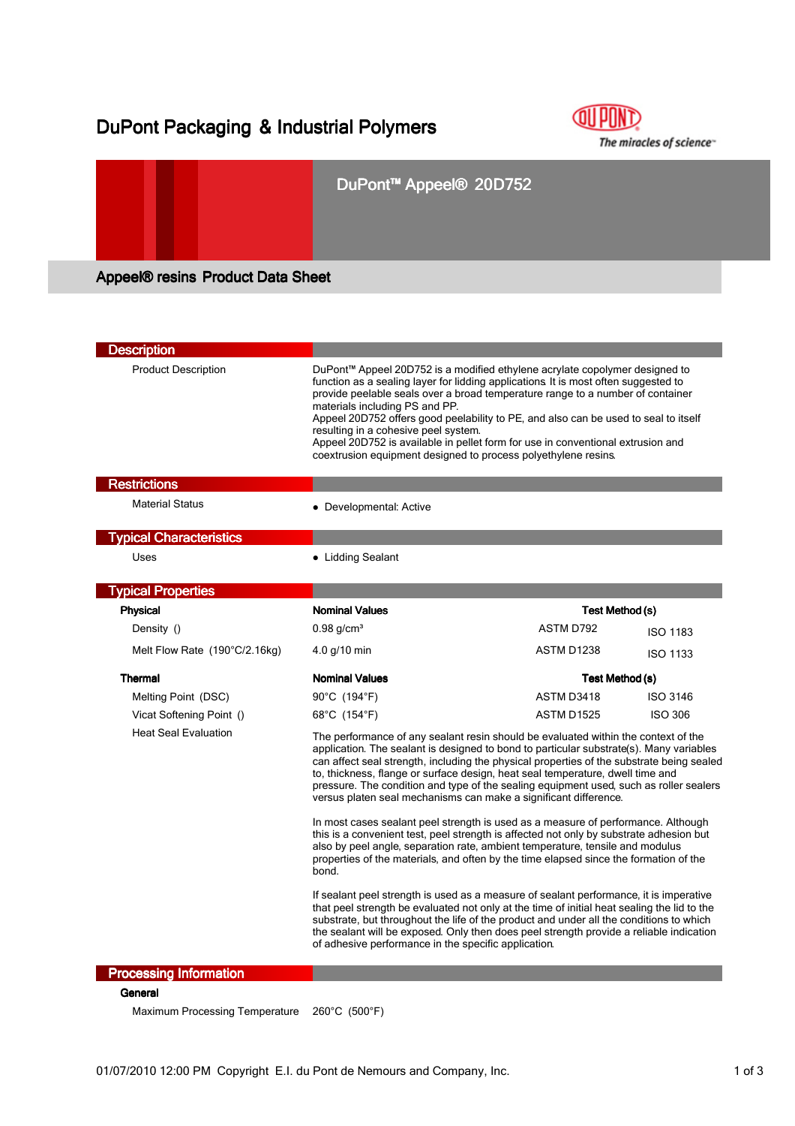# DuPont Packaging & Industrial Polymers



## DuPont™ Appeel® 20D752

Appeel® resins Product Data Sheet

| <b>Product Description</b><br>materials including PS and PP.<br>resulting in a cohesive peel system.<br>coextrusion equipment designed to process polyethylene resins.<br><b>Restrictions</b><br><b>Material Status</b><br>• Developmental: Active<br><b>Typical Characteristics</b><br>Uses<br>• Lidding Sealant<br><b>Typical Properties</b><br><b>Nominal Values</b><br>Physical<br>Test Method (s)<br>ASTM D792<br>$0.98$ g/cm <sup>3</sup><br>Density ()<br>Melt Flow Rate (190°C/2.16kg)<br>4.0 g/10 min<br>ASTM D1238<br><b>Thermal</b><br><b>Nominal Values</b><br>Test Method (s)<br>ASTM D3418<br>90°C (194°F)<br>Melting Point (DSC)<br><b>ASTM D1525</b><br>Vicat Softening Point ()<br>68°C (154°F)<br><b>Heat Seal Evaluation</b><br>versus platen seal mechanisms can make a significant difference.<br>bond. | <b>Description</b> |                                                                                                                                                                                                                                                                                                                                                                                                                                                                                                                                                                                                                                                                                                                                                                                                                  |  |                 |  |
|------------------------------------------------------------------------------------------------------------------------------------------------------------------------------------------------------------------------------------------------------------------------------------------------------------------------------------------------------------------------------------------------------------------------------------------------------------------------------------------------------------------------------------------------------------------------------------------------------------------------------------------------------------------------------------------------------------------------------------------------------------------------------------------------------------------------------|--------------------|------------------------------------------------------------------------------------------------------------------------------------------------------------------------------------------------------------------------------------------------------------------------------------------------------------------------------------------------------------------------------------------------------------------------------------------------------------------------------------------------------------------------------------------------------------------------------------------------------------------------------------------------------------------------------------------------------------------------------------------------------------------------------------------------------------------|--|-----------------|--|
|                                                                                                                                                                                                                                                                                                                                                                                                                                                                                                                                                                                                                                                                                                                                                                                                                              |                    | DuPont™ Appeel 20D752 is a modified ethylene acrylate copolymer designed to<br>function as a sealing layer for lidding applications It is most often suggested to<br>provide peelable seals over a broad temperature range to a number of container<br>Appeel 20D752 offers good peelability to PE, and also can be used to seal to itself<br>Appeel 20D752 is available in pellet form for use in conventional extrusion and                                                                                                                                                                                                                                                                                                                                                                                    |  |                 |  |
|                                                                                                                                                                                                                                                                                                                                                                                                                                                                                                                                                                                                                                                                                                                                                                                                                              |                    |                                                                                                                                                                                                                                                                                                                                                                                                                                                                                                                                                                                                                                                                                                                                                                                                                  |  |                 |  |
|                                                                                                                                                                                                                                                                                                                                                                                                                                                                                                                                                                                                                                                                                                                                                                                                                              |                    |                                                                                                                                                                                                                                                                                                                                                                                                                                                                                                                                                                                                                                                                                                                                                                                                                  |  |                 |  |
|                                                                                                                                                                                                                                                                                                                                                                                                                                                                                                                                                                                                                                                                                                                                                                                                                              |                    |                                                                                                                                                                                                                                                                                                                                                                                                                                                                                                                                                                                                                                                                                                                                                                                                                  |  |                 |  |
|                                                                                                                                                                                                                                                                                                                                                                                                                                                                                                                                                                                                                                                                                                                                                                                                                              |                    |                                                                                                                                                                                                                                                                                                                                                                                                                                                                                                                                                                                                                                                                                                                                                                                                                  |  |                 |  |
|                                                                                                                                                                                                                                                                                                                                                                                                                                                                                                                                                                                                                                                                                                                                                                                                                              |                    |                                                                                                                                                                                                                                                                                                                                                                                                                                                                                                                                                                                                                                                                                                                                                                                                                  |  |                 |  |
|                                                                                                                                                                                                                                                                                                                                                                                                                                                                                                                                                                                                                                                                                                                                                                                                                              |                    |                                                                                                                                                                                                                                                                                                                                                                                                                                                                                                                                                                                                                                                                                                                                                                                                                  |  |                 |  |
|                                                                                                                                                                                                                                                                                                                                                                                                                                                                                                                                                                                                                                                                                                                                                                                                                              |                    |                                                                                                                                                                                                                                                                                                                                                                                                                                                                                                                                                                                                                                                                                                                                                                                                                  |  | <b>ISO 1183</b> |  |
|                                                                                                                                                                                                                                                                                                                                                                                                                                                                                                                                                                                                                                                                                                                                                                                                                              |                    |                                                                                                                                                                                                                                                                                                                                                                                                                                                                                                                                                                                                                                                                                                                                                                                                                  |  | <b>ISO 1133</b> |  |
|                                                                                                                                                                                                                                                                                                                                                                                                                                                                                                                                                                                                                                                                                                                                                                                                                              |                    |                                                                                                                                                                                                                                                                                                                                                                                                                                                                                                                                                                                                                                                                                                                                                                                                                  |  |                 |  |
|                                                                                                                                                                                                                                                                                                                                                                                                                                                                                                                                                                                                                                                                                                                                                                                                                              |                    |                                                                                                                                                                                                                                                                                                                                                                                                                                                                                                                                                                                                                                                                                                                                                                                                                  |  | <b>ISO 3146</b> |  |
|                                                                                                                                                                                                                                                                                                                                                                                                                                                                                                                                                                                                                                                                                                                                                                                                                              |                    |                                                                                                                                                                                                                                                                                                                                                                                                                                                                                                                                                                                                                                                                                                                                                                                                                  |  | <b>ISO 306</b>  |  |
|                                                                                                                                                                                                                                                                                                                                                                                                                                                                                                                                                                                                                                                                                                                                                                                                                              |                    | The performance of any sealant resin should be evaluated within the context of the<br>application. The sealant is designed to bond to particular substrate(s). Many variables<br>can affect seal strength, including the physical properties of the substrate being sealed<br>to, thickness, flange or surface design, heat seal temperature, dwell time and<br>pressure. The condition and type of the sealing equipment used, such as roller sealers<br>In most cases sealant peel strength is used as a measure of performance. Although<br>this is a convenient test, peel strength is affected not only by substrate adhesion but<br>also by peel angle, separation rate, ambient temperature, tensile and modulus<br>properties of the materials, and often by the time elapsed since the formation of the |  |                 |  |
| of adhesive performance in the specific application.<br><b>Processing Information</b>                                                                                                                                                                                                                                                                                                                                                                                                                                                                                                                                                                                                                                                                                                                                        |                    | If sealant peel strength is used as a measure of sealant performance, it is imperative<br>that peel strength be evaluated not only at the time of initial heat sealing the lid to the<br>substrate, but throughout the life of the product and under all the conditions to which<br>the sealant will be exposed. Only then does peel strength provide a reliable indication                                                                                                                                                                                                                                                                                                                                                                                                                                      |  |                 |  |

General

Maximum Processing Temperature 260°C (500°F)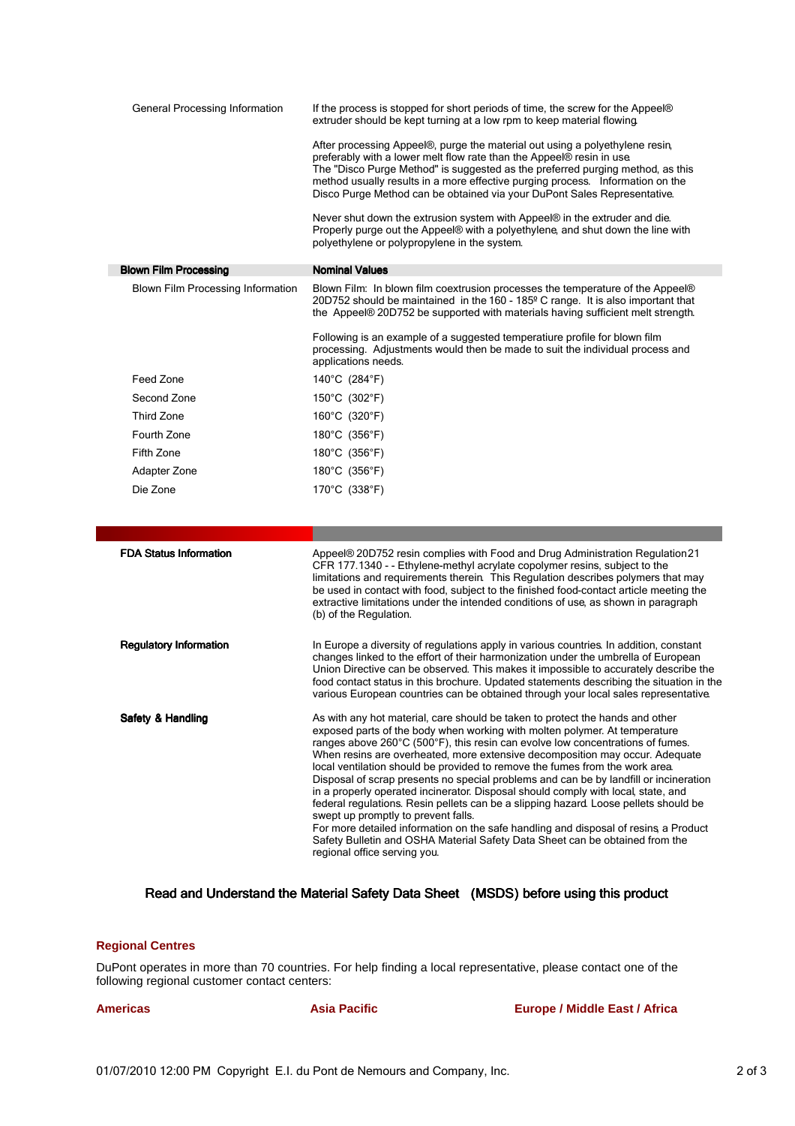| General Processing Information           | If the process is stopped for short periods of time, the screw for the Appeel®<br>extruder should be kept turning at a low rpm to keep material flowing.<br>After processing Appeel®, purge the material out using a polyethylene resin,<br>preferably with a lower melt flow rate than the Appeel® resin in use.<br>The "Disco Purge Method" is suggested as the preferred purging method, as this<br>method usually results in a more effective purging process. Information on the<br>Disco Purge Method can be obtained via your DuPont Sales Representative.<br>Never shut down the extrusion system with Appeel® in the extruder and die.<br>Properly purge out the Appeel® with a polyethylene, and shut down the line with<br>polyethylene or polypropylene in the system.                                                                                                                                                |
|------------------------------------------|-----------------------------------------------------------------------------------------------------------------------------------------------------------------------------------------------------------------------------------------------------------------------------------------------------------------------------------------------------------------------------------------------------------------------------------------------------------------------------------------------------------------------------------------------------------------------------------------------------------------------------------------------------------------------------------------------------------------------------------------------------------------------------------------------------------------------------------------------------------------------------------------------------------------------------------|
| <b>Blown Film Processing</b>             | <b>Nominal Values</b>                                                                                                                                                                                                                                                                                                                                                                                                                                                                                                                                                                                                                                                                                                                                                                                                                                                                                                             |
| <b>Blown Film Processing Information</b> | Blown Film: In blown film coextrusion processes the temperature of the Appeel®<br>20D752 should be maintained in the 160 - 185º C range. It is also important that<br>the Appeel® 20D752 be supported with materials having sufficient melt strength.<br>Following is an example of a suggested temperatiure profile for blown film                                                                                                                                                                                                                                                                                                                                                                                                                                                                                                                                                                                               |
|                                          | processing. Adjustments would then be made to suit the individual process and<br>applications needs.                                                                                                                                                                                                                                                                                                                                                                                                                                                                                                                                                                                                                                                                                                                                                                                                                              |
| Feed Zone                                | 140°C (284°F)                                                                                                                                                                                                                                                                                                                                                                                                                                                                                                                                                                                                                                                                                                                                                                                                                                                                                                                     |
| Second Zone                              | 150°C (302°F)                                                                                                                                                                                                                                                                                                                                                                                                                                                                                                                                                                                                                                                                                                                                                                                                                                                                                                                     |
| Third Zone                               | 160°C (320°F)                                                                                                                                                                                                                                                                                                                                                                                                                                                                                                                                                                                                                                                                                                                                                                                                                                                                                                                     |
| Fourth Zone                              | 180°C (356°F)                                                                                                                                                                                                                                                                                                                                                                                                                                                                                                                                                                                                                                                                                                                                                                                                                                                                                                                     |
| Fifth Zone                               | 180°C (356°F)                                                                                                                                                                                                                                                                                                                                                                                                                                                                                                                                                                                                                                                                                                                                                                                                                                                                                                                     |
| Adapter Zone                             | 180°C (356°F)                                                                                                                                                                                                                                                                                                                                                                                                                                                                                                                                                                                                                                                                                                                                                                                                                                                                                                                     |
| Die Zone                                 | 170°C (338°F)                                                                                                                                                                                                                                                                                                                                                                                                                                                                                                                                                                                                                                                                                                                                                                                                                                                                                                                     |
|                                          |                                                                                                                                                                                                                                                                                                                                                                                                                                                                                                                                                                                                                                                                                                                                                                                                                                                                                                                                   |
|                                          |                                                                                                                                                                                                                                                                                                                                                                                                                                                                                                                                                                                                                                                                                                                                                                                                                                                                                                                                   |
| <b>FDA Status Information</b>            | Appeel® 20D752 resin complies with Food and Drug Administration Regulation 21<br>CFR 177.1340 - - Ethylene-methyl acrylate copolymer resins, subject to the<br>limitations and requirements therein. This Regulation describes polymers that may<br>be used in contact with food, subject to the finished food-contact article meeting the<br>extractive limitations under the intended conditions of use, as shown in paragraph<br>(b) of the Regulation.                                                                                                                                                                                                                                                                                                                                                                                                                                                                        |
| <b>Regulatory Information</b>            | In Europe a diversity of regulations apply in various countries. In addition, constant<br>changes linked to the effort of their harmonization under the umbrella of European<br>Union Directive can be observed. This makes it impossible to accurately describe the<br>food contact status in this brochure. Updated statements describing the situation in the<br>various European countries can be obtained through your local sales representative.                                                                                                                                                                                                                                                                                                                                                                                                                                                                           |
| Safety & Handling                        | As with any hot material, care should be taken to protect the hands and other<br>exposed parts of the body when working with molten polymer. At temperature<br>ranges above 260°C (500°F), this resin can evolve low concentrations of fumes.<br>When resins are overheated, more extensive decomposition may occur. Adequate<br>local ventilation should be provided to remove the fumes from the work area.<br>Disposal of scrap presents no special problems and can be by landfill or incineration<br>in a properly operated incinerator. Disposal should comply with local, state, and<br>federal regulations. Resin pellets can be a slipping hazard. Loose pellets should be<br>swept up promptly to prevent falls.<br>For more detailed information on the safe handling and disposal of resins a Product<br>Safety Bulletin and OSHA Material Safety Data Sheet can be obtained from the<br>regional office serving you. |

### Read and Understand the Material Safety Data Sheet (MSDS) before using this product

#### **Regional Centres**

DuPont operates in more than 70 countries. For help finding a local representative, please contact one of the following regional customer contact centers:

**Americas Asia Pacific Europe / Middle East / Africa**